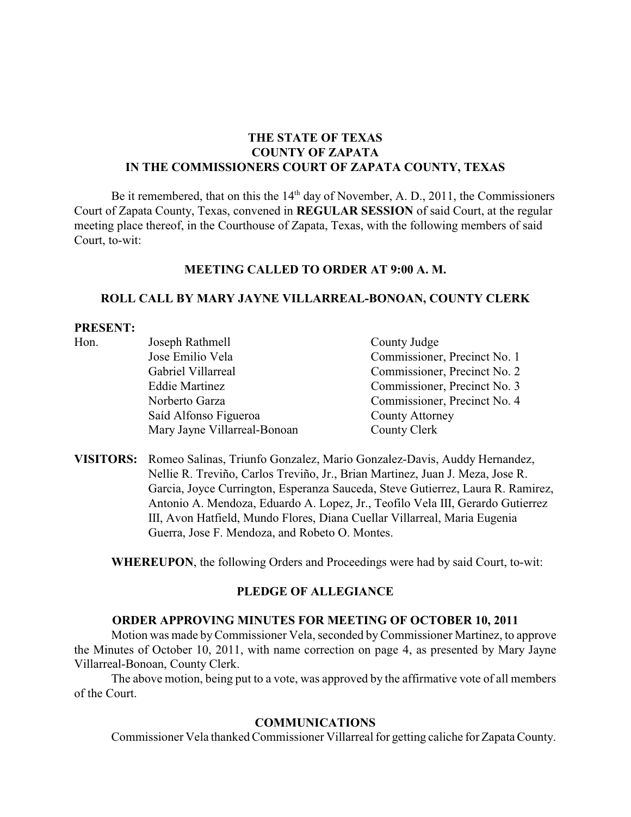# **THE STATE OF TEXAS COUNTY OF ZAPATA IN THE COMMISSIONERS COURT OF ZAPATA COUNTY, TEXAS**

Be it remembered, that on this the  $14<sup>th</sup>$  day of November, A. D., 2011, the Commissioners Court of Zapata County, Texas, convened in **REGULAR SESSION** of said Court, at the regular meeting place thereof, in the Courthouse of Zapata, Texas, with the following members of said Court, to-wit:

#### **MEETING CALLED TO ORDER AT 9:00 A. M.**

#### **ROLL CALL BY MARY JAYNE VILLARREAL-BONOAN, COUNTY CLERK**

#### **PRESENT:**

| Hon. | Joseph Rathmell              | County Judge                 |
|------|------------------------------|------------------------------|
|      | Jose Emilio Vela             | Commissioner, Precinct No. 1 |
|      | Gabriel Villarreal           | Commissioner, Precinct No. 2 |
|      | <b>Eddie Martinez</b>        | Commissioner, Precinct No. 3 |
|      | Norberto Garza               | Commissioner, Precinct No. 4 |
|      | Saíd Alfonso Figueroa        | <b>County Attorney</b>       |
|      | Mary Jayne Villarreal-Bonoan | County Clerk                 |

**VISITORS:** Romeo Salinas, Triunfo Gonzalez, Mario Gonzalez-Davis, Auddy Hernandez, Nellie R. Treviño, Carlos Treviño, Jr., Brian Martinez, Juan J. Meza, Jose R. Garcia, Joyce Currington, Esperanza Sauceda, Steve Gutierrez, Laura R. Ramirez, Antonio A. Mendoza, Eduardo A. Lopez, Jr., Teofilo Vela III, Gerardo Gutierrez III, Avon Hatfield, Mundo Flores, Diana Cuellar Villarreal, Maria Eugenia Guerra, Jose F. Mendoza, and Robeto O. Montes.

**WHEREUPON**, the following Orders and Proceedings were had by said Court, to-wit:

#### **PLEDGE OF ALLEGIANCE**

### **ORDER APPROVING MINUTES FOR MEETING OF OCTOBER 10, 2011**

Motion was made byCommissioner Vela, seconded byCommissioner Martinez, to approve the Minutes of October 10, 2011, with name correction on page 4, as presented by Mary Jayne Villarreal-Bonoan, County Clerk.

The above motion, being put to a vote, was approved by the affirmative vote of all members of the Court.

#### **COMMUNICATIONS**

Commissioner Vela thanked Commissioner Villarreal for getting caliche for ZapataCounty.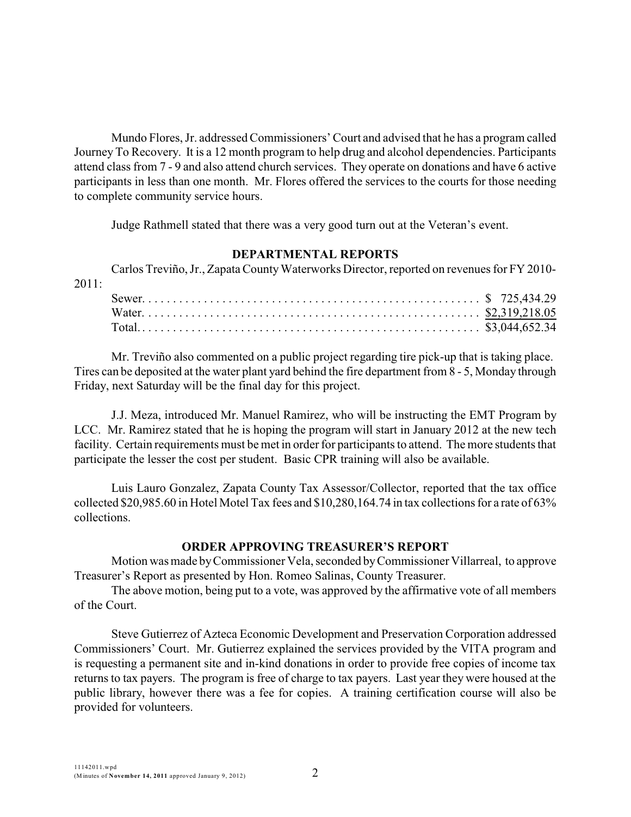Mundo Flores, Jr. addressed Commissioners' Court and advised that he has a program called Journey To Recovery. It is a 12 month program to help drug and alcohol dependencies. Participants attend class from 7 - 9 and also attend church services. They operate on donations and have 6 active participants in less than one month. Mr. Flores offered the services to the courts for those needing to complete community service hours.

Judge Rathmell stated that there was a very good turn out at the Veteran's event.

### **DEPARTMENTAL REPORTS**

Carlos Treviño, Jr., Zapata County Waterworks Director, reported on revenues for FY 2010-2011:

Mr. Treviño also commented on a public project regarding tire pick-up that is taking place. Tires can be deposited at the water plant yard behind the fire department from 8 - 5, Monday through Friday, next Saturday will be the final day for this project.

J.J. Meza, introduced Mr. Manuel Ramirez, who will be instructing the EMT Program by LCC. Mr. Ramirez stated that he is hoping the program will start in January 2012 at the new tech facility. Certain requirements must be met in order for participants to attend. The more students that participate the lesser the cost per student. Basic CPR training will also be available.

Luis Lauro Gonzalez, Zapata County Tax Assessor/Collector, reported that the tax office collected \$20,985.60 in Hotel Motel Tax fees and \$10,280,164.74 in tax collections for a rate of 63% collections.

#### **ORDER APPROVING TREASURER'S REPORT**

Motion was made byCommissioner Vela, seconded byCommissioner Villarreal, to approve Treasurer's Report as presented by Hon. Romeo Salinas, County Treasurer.

The above motion, being put to a vote, was approved by the affirmative vote of all members of the Court.

Steve Gutierrez of Azteca Economic Development and Preservation Corporation addressed Commissioners' Court. Mr. Gutierrez explained the services provided by the VITA program and is requesting a permanent site and in-kind donations in order to provide free copies of income tax returns to tax payers. The program is free of charge to tax payers. Last year they were housed at the public library, however there was a fee for copies. A training certification course will also be provided for volunteers.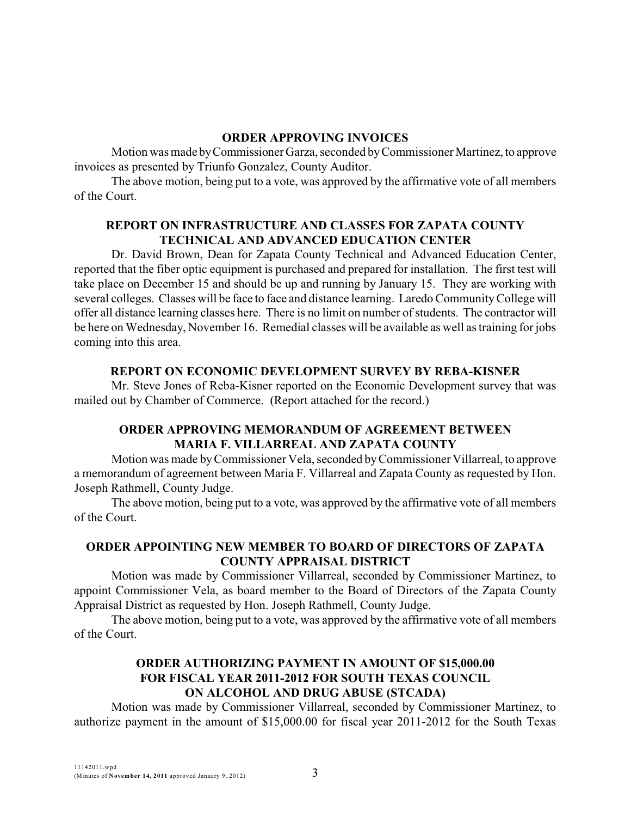### **ORDER APPROVING INVOICES**

Motion was made byCommissioner Garza, seconded byCommissioner Martinez, to approve invoices as presented by Triunfo Gonzalez, County Auditor.

The above motion, being put to a vote, was approved by the affirmative vote of all members of the Court.

# **REPORT ON INFRASTRUCTURE AND CLASSES FOR ZAPATA COUNTY TECHNICAL AND ADVANCED EDUCATION CENTER**

Dr. David Brown, Dean for Zapata County Technical and Advanced Education Center, reported that the fiber optic equipment is purchased and prepared for installation. The first test will take place on December 15 and should be up and running by January 15. They are working with several colleges. Classes will be face to face and distance learning. Laredo CommunityCollege will offer all distance learning classes here. There is no limit on number of students. The contractor will be here on Wednesday, November 16. Remedial classes will be available as well as training for jobs coming into this area.

# **REPORT ON ECONOMIC DEVELOPMENT SURVEY BY REBA-KISNER**

Mr. Steve Jones of Reba-Kisner reported on the Economic Development survey that was mailed out by Chamber of Commerce. (Report attached for the record.)

# **ORDER APPROVING MEMORANDUM OF AGREEMENT BETWEEN MARIA F. VILLARREAL AND ZAPATA COUNTY**

Motion was made byCommissioner Vela, seconded byCommissioner Villarreal, to approve a memorandum of agreement between Maria F. Villarreal and Zapata County as requested by Hon. Joseph Rathmell, County Judge.

The above motion, being put to a vote, was approved by the affirmative vote of all members of the Court.

# **ORDER APPOINTING NEW MEMBER TO BOARD OF DIRECTORS OF ZAPATA COUNTY APPRAISAL DISTRICT**

Motion was made by Commissioner Villarreal, seconded by Commissioner Martinez, to appoint Commissioner Vela, as board member to the Board of Directors of the Zapata County Appraisal District as requested by Hon. Joseph Rathmell, County Judge.

The above motion, being put to a vote, was approved by the affirmative vote of all members of the Court.

# **ORDER AUTHORIZING PAYMENT IN AMOUNT OF \$15,000.00 FOR FISCAL YEAR 2011-2012 FOR SOUTH TEXAS COUNCIL ON ALCOHOL AND DRUG ABUSE (STCADA)**

Motion was made by Commissioner Villarreal, seconded by Commissioner Martinez, to authorize payment in the amount of \$15,000.00 for fiscal year 2011-2012 for the South Texas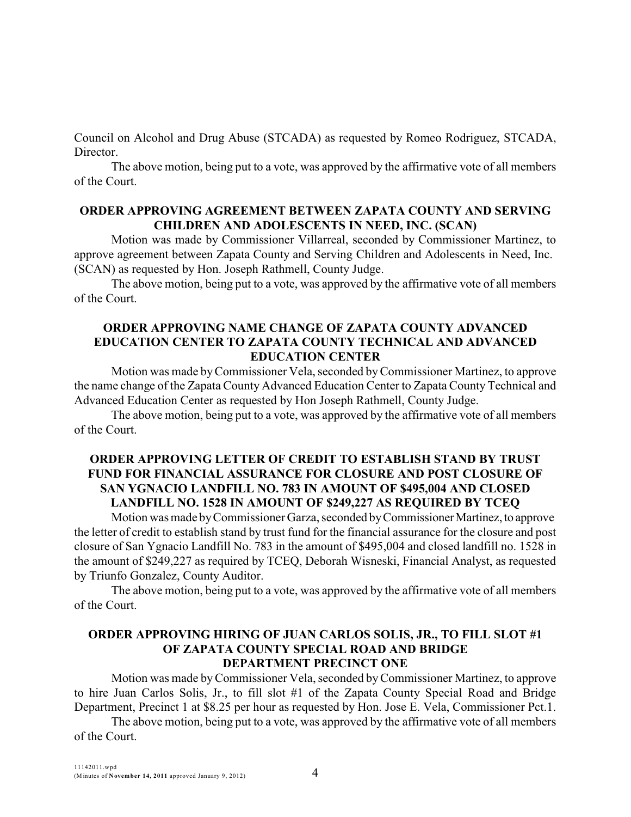Council on Alcohol and Drug Abuse (STCADA) as requested by Romeo Rodriguez, STCADA, Director.

The above motion, being put to a vote, was approved by the affirmative vote of all members of the Court.

### **ORDER APPROVING AGREEMENT BETWEEN ZAPATA COUNTY AND SERVING CHILDREN AND ADOLESCENTS IN NEED, INC. (SCAN)**

Motion was made by Commissioner Villarreal, seconded by Commissioner Martinez, to approve agreement between Zapata County and Serving Children and Adolescents in Need, Inc. (SCAN) as requested by Hon. Joseph Rathmell, County Judge.

The above motion, being put to a vote, was approved by the affirmative vote of all members of the Court.

### **ORDER APPROVING NAME CHANGE OF ZAPATA COUNTY ADVANCED EDUCATION CENTER TO ZAPATA COUNTY TECHNICAL AND ADVANCED EDUCATION CENTER**

Motion was made byCommissioner Vela, seconded byCommissioner Martinez, to approve the name change of the Zapata County Advanced Education Center to Zapata County Technical and Advanced Education Center as requested by Hon Joseph Rathmell, County Judge.

The above motion, being put to a vote, was approved by the affirmative vote of all members of the Court.

# **ORDER APPROVING LETTER OF CREDIT TO ESTABLISH STAND BY TRUST FUND FOR FINANCIAL ASSURANCE FOR CLOSURE AND POST CLOSURE OF SAN YGNACIO LANDFILL NO. 783 IN AMOUNT OF \$495,004 AND CLOSED LANDFILL NO. 1528 IN AMOUNT OF \$249,227 AS REQUIRED BY TCEQ**

Motion was made by Commissioner Garza, seconded by Commissioner Martinez, to approve the letter of credit to establish stand by trust fund for the financial assurance for the closure and post closure of San Ygnacio Landfill No. 783 in the amount of \$495,004 and closed landfill no. 1528 in the amount of \$249,227 as required by TCEQ, Deborah Wisneski, Financial Analyst, as requested by Triunfo Gonzalez, County Auditor.

The above motion, being put to a vote, was approved by the affirmative vote of all members of the Court.

### **ORDER APPROVING HIRING OF JUAN CARLOS SOLIS, JR., TO FILL SLOT #1 OF ZAPATA COUNTY SPECIAL ROAD AND BRIDGE DEPARTMENT PRECINCT ONE**

Motion was made byCommissioner Vela, seconded byCommissioner Martinez, to approve to hire Juan Carlos Solis, Jr., to fill slot #1 of the Zapata County Special Road and Bridge Department, Precinct 1 at \$8.25 per hour as requested by Hon. Jose E. Vela, Commissioner Pct.1.

The above motion, being put to a vote, was approved by the affirmative vote of all members of the Court.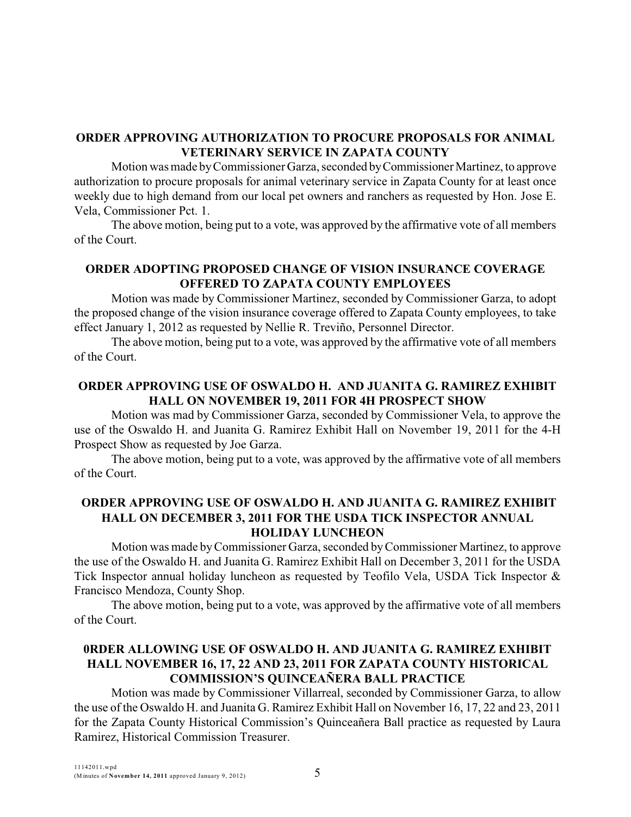# **ORDER APPROVING AUTHORIZATION TO PROCURE PROPOSALS FOR ANIMAL VETERINARY SERVICE IN ZAPATA COUNTY**

Motion was made byCommissioner Garza, seconded byCommissioner Martinez, to approve authorization to procure proposals for animal veterinary service in Zapata County for at least once weekly due to high demand from our local pet owners and ranchers as requested by Hon. Jose E. Vela, Commissioner Pct. 1.

The above motion, being put to a vote, was approved by the affirmative vote of all members of the Court.

# **ORDER ADOPTING PROPOSED CHANGE OF VISION INSURANCE COVERAGE OFFERED TO ZAPATA COUNTY EMPLOYEES**

Motion was made by Commissioner Martinez, seconded by Commissioner Garza, to adopt the proposed change of the vision insurance coverage offered to Zapata County employees, to take effect January 1, 2012 as requested by Nellie R. Treviño, Personnel Director.

The above motion, being put to a vote, was approved by the affirmative vote of all members of the Court.

# **ORDER APPROVING USE OF OSWALDO H. AND JUANITA G. RAMIREZ EXHIBIT HALL ON NOVEMBER 19, 2011 FOR 4H PROSPECT SHOW**

Motion was mad by Commissioner Garza, seconded by Commissioner Vela, to approve the use of the Oswaldo H. and Juanita G. Ramirez Exhibit Hall on November 19, 2011 for the 4-H Prospect Show as requested by Joe Garza.

The above motion, being put to a vote, was approved by the affirmative vote of all members of the Court.

# **ORDER APPROVING USE OF OSWALDO H. AND JUANITA G. RAMIREZ EXHIBIT HALL ON DECEMBER 3, 2011 FOR THE USDA TICK INSPECTOR ANNUAL HOLIDAY LUNCHEON**

Motion was made byCommissioner Garza, seconded byCommissioner Martinez, to approve the use of the Oswaldo H. and Juanita G. Ramirez Exhibit Hall on December 3, 2011 for the USDA Tick Inspector annual holiday luncheon as requested by Teofilo Vela, USDA Tick Inspector & Francisco Mendoza, County Shop.

The above motion, being put to a vote, was approved by the affirmative vote of all members of the Court.

# **0RDER ALLOWING USE OF OSWALDO H. AND JUANITA G. RAMIREZ EXHIBIT HALL NOVEMBER 16, 17, 22 AND 23, 2011 FOR ZAPATA COUNTY HISTORICAL COMMISSION'S QUINCEAÑERA BALL PRACTICE**

Motion was made by Commissioner Villarreal, seconded by Commissioner Garza, to allow the use of the Oswaldo H. and Juanita G. Ramirez Exhibit Hall on November 16, 17, 22 and 23, 2011 for the Zapata County Historical Commission's Quinceañera Ball practice as requested by Laura Ramirez, Historical Commission Treasurer.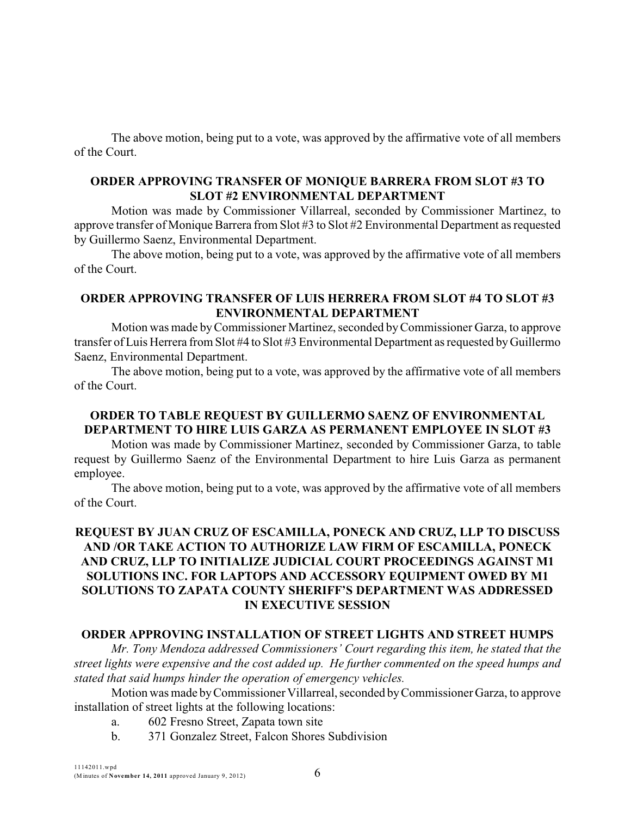The above motion, being put to a vote, was approved by the affirmative vote of all members of the Court.

### **ORDER APPROVING TRANSFER OF MONIQUE BARRERA FROM SLOT #3 TO SLOT #2 ENVIRONMENTAL DEPARTMENT**

Motion was made by Commissioner Villarreal, seconded by Commissioner Martinez, to approve transfer of Monique Barrera from Slot #3 to Slot #2 Environmental Department as requested by Guillermo Saenz, Environmental Department.

The above motion, being put to a vote, was approved by the affirmative vote of all members of the Court.

### **ORDER APPROVING TRANSFER OF LUIS HERRERA FROM SLOT #4 TO SLOT #3 ENVIRONMENTAL DEPARTMENT**

Motion was made byCommissioner Martinez, seconded byCommissioner Garza, to approve transfer of Luis Herrera from Slot #4 to Slot #3 Environmental Department as requested byGuillermo Saenz, Environmental Department.

The above motion, being put to a vote, was approved by the affirmative vote of all members of the Court.

# **ORDER TO TABLE REQUEST BY GUILLERMO SAENZ OF ENVIRONMENTAL DEPARTMENT TO HIRE LUIS GARZA AS PERMANENT EMPLOYEE IN SLOT #3**

Motion was made by Commissioner Martinez, seconded by Commissioner Garza, to table request by Guillermo Saenz of the Environmental Department to hire Luis Garza as permanent employee.

The above motion, being put to a vote, was approved by the affirmative vote of all members of the Court.

# **REQUEST BY JUAN CRUZ OF ESCAMILLA, PONECK AND CRUZ, LLP TO DISCUSS AND /OR TAKE ACTION TO AUTHORIZE LAW FIRM OF ESCAMILLA, PONECK AND CRUZ, LLP TO INITIALIZE JUDICIAL COURT PROCEEDINGS AGAINST M1 SOLUTIONS INC. FOR LAPTOPS AND ACCESSORY EQUIPMENT OWED BY M1 SOLUTIONS TO ZAPATA COUNTY SHERIFF'S DEPARTMENT WAS ADDRESSED IN EXECUTIVE SESSION**

#### **ORDER APPROVING INSTALLATION OF STREET LIGHTS AND STREET HUMPS**

*Mr. Tony Mendoza addressed Commissioners' Court regarding this item, he stated that the street lights were expensive and the cost added up. He further commented on the speed humps and stated that said humps hinder the operation of emergency vehicles.*

Motion was made byCommissioner Villarreal, seconded byCommissioner Garza, to approve installation of street lights at the following locations:

- a. 602 Fresno Street, Zapata town site
- b. 371 Gonzalez Street, Falcon Shores Subdivision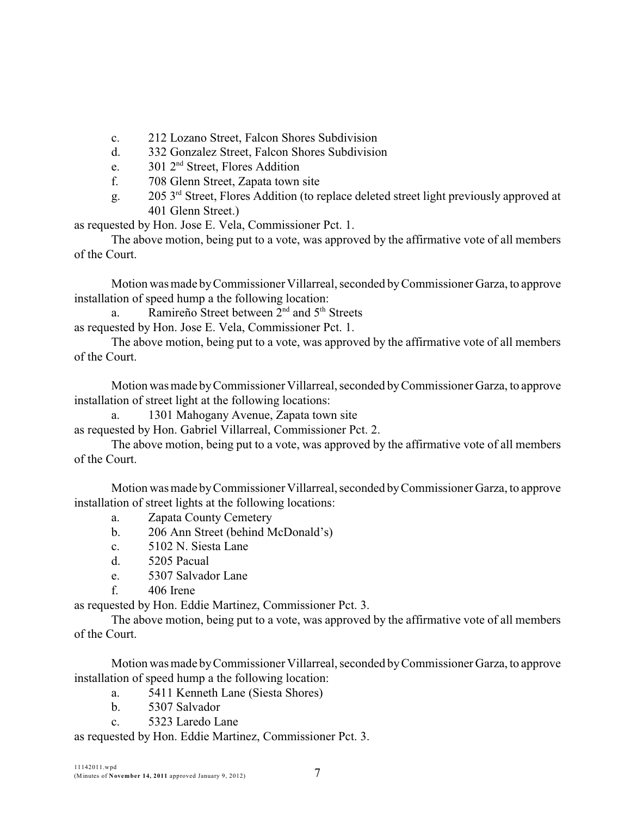c. 212 Lozano Street, Falcon Shores Subdivision

- d. 332 Gonzalez Street, Falcon Shores Subdivision
- e.  $301 \, 2^{nd}$  Street, Flores Addition
- f. 708 Glenn Street, Zapata town site
- g.  $205 \, 3^{rd}$  Street, Flores Addition (to replace deleted street light previously approved at 401 Glenn Street.)

as requested by Hon. Jose E. Vela, Commissioner Pct. 1.

The above motion, being put to a vote, was approved by the affirmative vote of all members of the Court.

Motion was made byCommissioner Villarreal, seconded byCommissioner Garza, to approve installation of speed hump a the following location:

a. Ramireño Street between  $2<sup>nd</sup>$  and  $5<sup>th</sup>$  Streets as requested by Hon. Jose E. Vela, Commissioner Pct. 1.

The above motion, being put to a vote, was approved by the affirmative vote of all members of the Court.

Motion was made byCommissioner Villarreal, seconded byCommissioner Garza, to approve installation of street light at the following locations:

a. 1301 Mahogany Avenue, Zapata town site

as requested by Hon. Gabriel Villarreal, Commissioner Pct. 2.

The above motion, being put to a vote, was approved by the affirmative vote of all members of the Court.

Motion was made byCommissioner Villarreal, seconded byCommissioner Garza, to approve installation of street lights at the following locations:

- a. Zapata County Cemetery
- b. 206 Ann Street (behind McDonald's)
- c. 5102 N. Siesta Lane
- d. 5205 Pacual
- e. 5307 Salvador Lane
- f. 406 Irene

as requested by Hon. Eddie Martinez, Commissioner Pct. 3.

The above motion, being put to a vote, was approved by the affirmative vote of all members of the Court.

Motion was made byCommissioner Villarreal, seconded byCommissioner Garza, to approve installation of speed hump a the following location:

- a. 5411 Kenneth Lane (Siesta Shores)
- b. 5307 Salvador
- c. 5323 Laredo Lane

as requested by Hon. Eddie Martinez, Commissioner Pct. 3.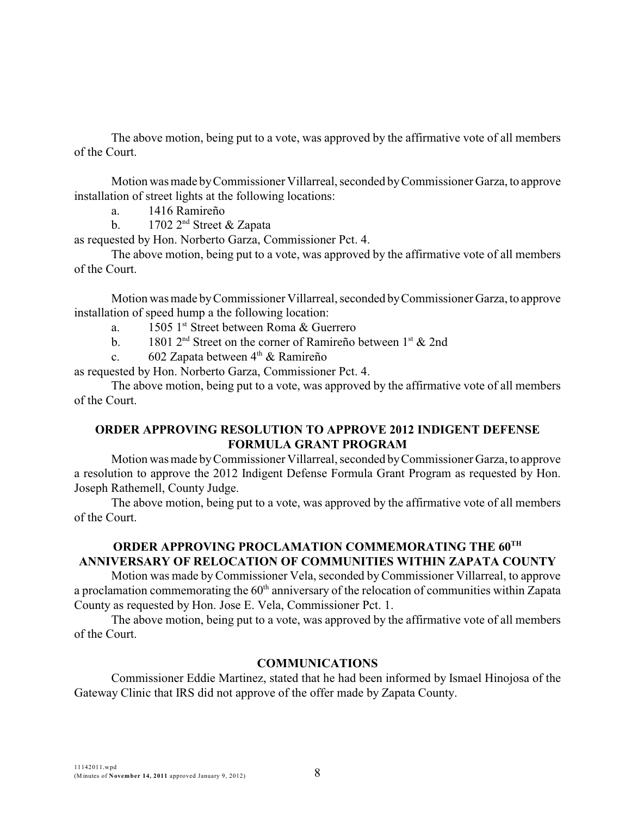The above motion, being put to a vote, was approved by the affirmative vote of all members of the Court.

Motion was made byCommissioner Villarreal, seconded byCommissioner Garza, to approve installation of street lights at the following locations:

a. 1416 Ramireño

b. 1702  $2<sup>nd</sup>$  Street & Zapata

as requested by Hon. Norberto Garza, Commissioner Pct. 4.

The above motion, being put to a vote, was approved by the affirmative vote of all members of the Court.

Motion was made byCommissioner Villarreal, seconded byCommissioner Garza, to approve installation of speed hump a the following location:

- a.  $1505$  1<sup>st</sup> Street between Roma & Guerrero
- b. 1801  $2<sup>nd</sup>$  Street on the corner of Ramireño between 1<sup>st</sup> & 2nd
- c. 602 Zapata between  $4<sup>th</sup>$  & Ramireño

as requested by Hon. Norberto Garza, Commissioner Pct. 4.

The above motion, being put to a vote, was approved by the affirmative vote of all members of the Court.

# **ORDER APPROVING RESOLUTION TO APPROVE 2012 INDIGENT DEFENSE FORMULA GRANT PROGRAM**

Motion was made byCommissioner Villarreal, seconded byCommissioner Garza, to approve a resolution to approve the 2012 Indigent Defense Formula Grant Program as requested by Hon. Joseph Rathemell, County Judge.

The above motion, being put to a vote, was approved by the affirmative vote of all members of the Court.

# **ORDER APPROVING PROCLAMATION COMMEMORATING THE 60TH ANNIVERSARY OF RELOCATION OF COMMUNITIES WITHIN ZAPATA COUNTY**

Motion was made by Commissioner Vela, seconded byCommissioner Villarreal, to approve a proclamation commemorating the  $60<sup>th</sup>$  anniversary of the relocation of communities within Zapata County as requested by Hon. Jose E. Vela, Commissioner Pct. 1.

The above motion, being put to a vote, was approved by the affirmative vote of all members of the Court.

# **COMMUNICATIONS**

Commissioner Eddie Martinez, stated that he had been informed by Ismael Hinojosa of the Gateway Clinic that IRS did not approve of the offer made by Zapata County.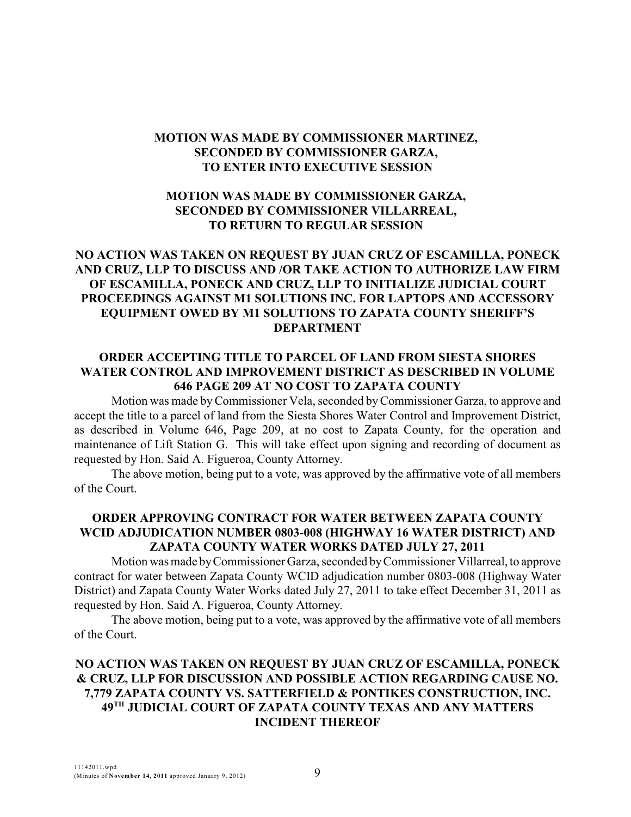### **MOTION WAS MADE BY COMMISSIONER MARTINEZ, SECONDED BY COMMISSIONER GARZA, TO ENTER INTO EXECUTIVE SESSION**

# **MOTION WAS MADE BY COMMISSIONER GARZA, SECONDED BY COMMISSIONER VILLARREAL, TO RETURN TO REGULAR SESSION**

# **NO ACTION WAS TAKEN ON REQUEST BY JUAN CRUZ OF ESCAMILLA, PONECK AND CRUZ, LLP TO DISCUSS AND /OR TAKE ACTION TO AUTHORIZE LAW FIRM OF ESCAMILLA, PONECK AND CRUZ, LLP TO INITIALIZE JUDICIAL COURT PROCEEDINGS AGAINST M1 SOLUTIONS INC. FOR LAPTOPS AND ACCESSORY EQUIPMENT OWED BY M1 SOLUTIONS TO ZAPATA COUNTY SHERIFF'S DEPARTMENT**

# **ORDER ACCEPTING TITLE TO PARCEL OF LAND FROM SIESTA SHORES WATER CONTROL AND IMPROVEMENT DISTRICT AS DESCRIBED IN VOLUME 646 PAGE 209 AT NO COST TO ZAPATA COUNTY**

Motion was made byCommissioner Vela, seconded byCommissioner Garza, to approve and accept the title to a parcel of land from the Siesta Shores Water Control and Improvement District, as described in Volume 646, Page 209, at no cost to Zapata County, for the operation and maintenance of Lift Station G. This will take effect upon signing and recording of document as requested by Hon. Said A. Figueroa, County Attorney.

The above motion, being put to a vote, was approved by the affirmative vote of all members of the Court.

### **ORDER APPROVING CONTRACT FOR WATER BETWEEN ZAPATA COUNTY WCID ADJUDICATION NUMBER 0803-008 (HIGHWAY 16 WATER DISTRICT) AND ZAPATA COUNTY WATER WORKS DATED JULY 27, 2011**

Motion was made byCommissioner Garza, seconded byCommissioner Villarreal, to approve contract for water between Zapata County WCID adjudication number 0803-008 (Highway Water District) and Zapata County Water Works dated July 27, 2011 to take effect December 31, 2011 as requested by Hon. Said A. Figueroa, County Attorney.

The above motion, being put to a vote, was approved by the affirmative vote of all members of the Court.

# **NO ACTION WAS TAKEN ON REQUEST BY JUAN CRUZ OF ESCAMILLA, PONECK & CRUZ, LLP FOR DISCUSSION AND POSSIBLE ACTION REGARDING CAUSE NO. 7,779 ZAPATA COUNTY VS. SATTERFIELD & PONTIKES CONSTRUCTION, INC. 49 JUDICIAL COURT OF ZAPATA COUNTY TEXAS AND ANY MATTERS TH INCIDENT THEREOF**